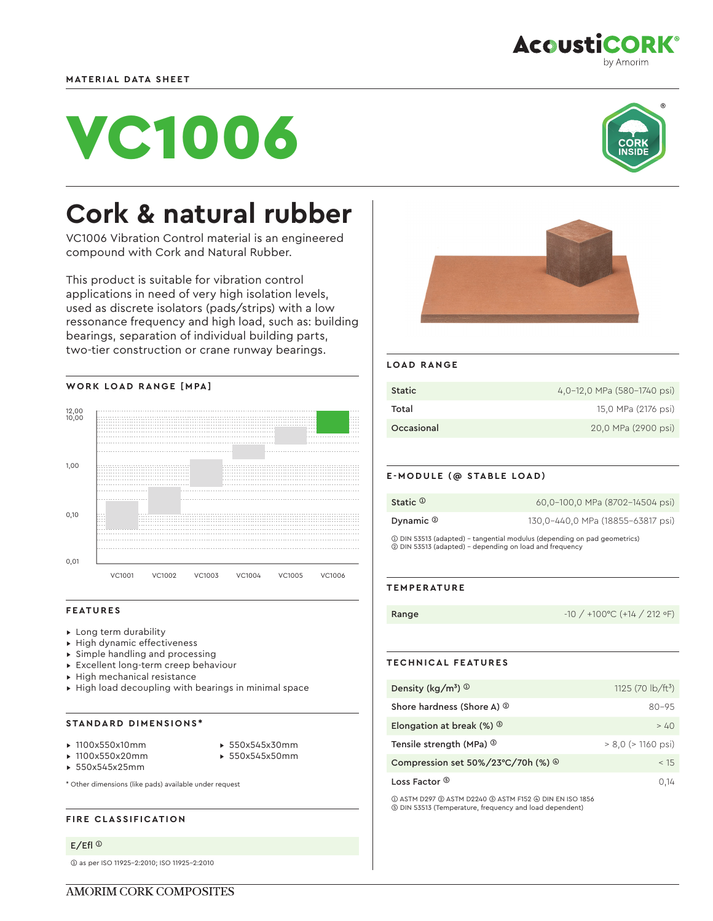



by Amorim

**AcoustiCORK®** 

# **Cork & natural rubber**

VC1006 Vibration Control material is an engineered compound with Cork and Natural Rubber.

This product is suitable for vibration control applications in need of very high isolation levels, used as discrete isolators (pads/strips) with a low ressonance frequency and high load, such as: building bearings, separation of individual building parts, two-tier construction or crane runway bearings.



#### **FEATURES**

- ▸ Long term durability
- ▸ High dynamic effectiveness
- ▸ Simple handling and processing
- ▸ Excellent long-term creep behaviour
- ▸ High mechanical resistance
- ▸ High load decoupling with bearings in minimal space

## **STANDARD DIMENSIONS\***

- ▸ 1100x550x10mm
- ▸ 550x545x30mm
- ▸ 1100x550x20mm
- 
- 
- ▸ 550x545x50mm
- ▸ 550x545x25mm
- \* Other dimensions (like pads) available under request

#### **FIRE CLASSIFICATION**

# E/Efl ➀

➀ as per ISO 11925-2:2010; ISO 11925-2:2010



## **LOAD RANGE**

| <b>Static</b> | 4,0-12,0 MPa (580-1740 psi) |
|---------------|-----------------------------|
| Total         | 15,0 MPa (2176 psi)         |
| Occasional    | 20,0 MPa (2900 psi)         |

#### **E-MODULE (@ STABLE LOAD)**

| Static $\Phi$                                                                                                                       | 60,0-100,0 MPa (8702-14504 psi)   |
|-------------------------------------------------------------------------------------------------------------------------------------|-----------------------------------|
| Dynamic $\circledcirc$                                                                                                              | 130,0-440,0 MPa (18855-63817 psi) |
| 1 DIN 53513 (adapted) - tangential modulus (depending on pad geometrics)<br>2 DIN 53513 (adapted) - depending on load and frequency |                                   |

#### **TEMPERATURE**

**Range**  $-10 / +100^{\circ}C (+14 / 212^{\circ}F)$ 

#### **TECHNICAL FEATURES**

| Density ( $\text{kg/m}^3$ ) $\textcircled{1}$ | 1125 (70 $\frac{1}{2}$ b/ft <sup>3</sup> ) |
|-----------------------------------------------|--------------------------------------------|
| Shore hardness (Shore A) <sup>20</sup>        | $80 - 95$                                  |
| Elongation at break (%) $\circledcirc$        | >40                                        |
| Tensile strength (MPa) <sup>3</sup>           | $> 8.0$ ( $> 1160$ psi)                    |
| Compression set 50%/23°C/70h (%) ®            | < 15                                       |
| Loss Factor ®                                 | 0.14                                       |

➀ ASTM D297 ➁ ASTM D2240 ➂ ASTM F152 ➃ DIN EN ISO 1856 ➄ DIN 53513 (Temperature, frequency and load dependent)